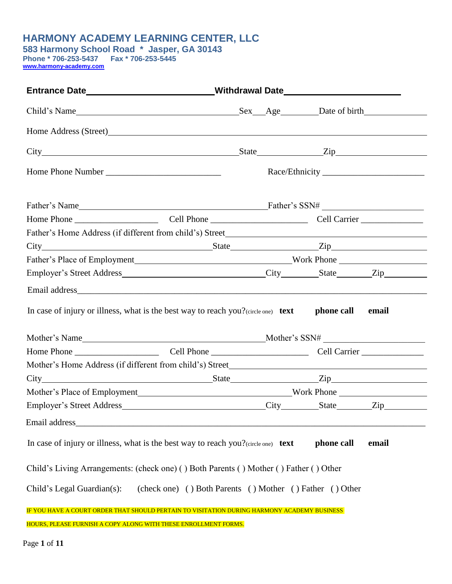### **HARMONY ACADEMY LEARNING CENTER, LLC**

**583 Harmony School Road \* Jasper, GA 30143 Phone \* 706-253-5437 Fax \* 706-253-5445 [www.harmony-academy.com](http://www.harmony-academy.com/)** 

| Entrance Date ____________________________Withdrawal Date ______________________            |                                                          |  |            |       |
|---------------------------------------------------------------------------------------------|----------------------------------------------------------|--|------------|-------|
|                                                                                             |                                                          |  |            |       |
|                                                                                             |                                                          |  |            |       |
|                                                                                             |                                                          |  |            |       |
|                                                                                             |                                                          |  |            |       |
|                                                                                             |                                                          |  |            |       |
|                                                                                             |                                                          |  |            |       |
|                                                                                             |                                                          |  |            |       |
|                                                                                             |                                                          |  |            |       |
|                                                                                             |                                                          |  |            |       |
|                                                                                             |                                                          |  |            |       |
|                                                                                             |                                                          |  |            |       |
| In case of injury or illness, what is the best way to reach you? $\langle$ circle one) text |                                                          |  | phone call | email |
|                                                                                             |                                                          |  |            |       |
|                                                                                             |                                                          |  |            |       |
|                                                                                             |                                                          |  |            |       |
|                                                                                             |                                                          |  |            |       |
|                                                                                             |                                                          |  |            |       |
| Email address_                                                                              |                                                          |  |            |       |
| In case of injury or illness, what is the best way to reach you? $(circle one)$ text        |                                                          |  | phone call | email |
| Child's Living Arrangements: (check one) () Both Parents () Mother () Father () Other       |                                                          |  |            |       |
| Child's Legal Guardian(s):                                                                  | (check one) () Both Parents () Mother () Father () Other |  |            |       |
| IF YOU HAVE A COURT ORDER THAT SHOULD PERTAIN TO VISITATION DURING HARMONY ACADEMY BUSINESS |                                                          |  |            |       |
| HOURS, PLEASE FURNISH A COPY ALONG WITH THESE ENROLLMENT FORMS.                             |                                                          |  |            |       |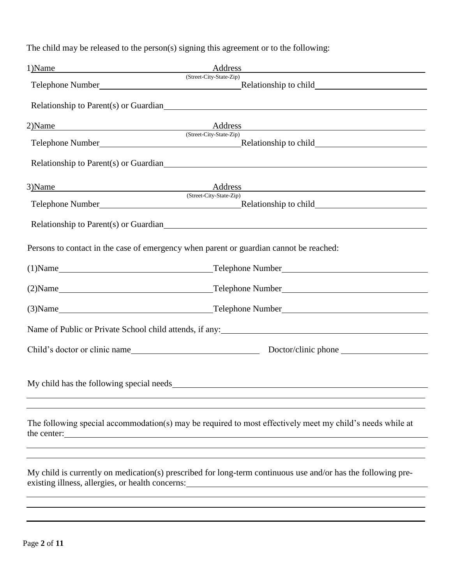The child may be released to the person(s) signing this agreement or to the following:

| 1)Name                                                                                                                                                                                                                         | Address<br><u> 1980 - Johann Barn, mars ann an t-Amhain Aonaich an t-Aonaich an t-Aonaich ann an t-Aonaich ann an t-Aonaich</u>                                                                                                                                      |  |  |  |  |
|--------------------------------------------------------------------------------------------------------------------------------------------------------------------------------------------------------------------------------|----------------------------------------------------------------------------------------------------------------------------------------------------------------------------------------------------------------------------------------------------------------------|--|--|--|--|
|                                                                                                                                                                                                                                | (Street-City-State-Zip)                                                                                                                                                                                                                                              |  |  |  |  |
|                                                                                                                                                                                                                                | Relationship to Parent(s) or Guardian                                                                                                                                                                                                                                |  |  |  |  |
| 2)Name                                                                                                                                                                                                                         | Address and the contract of the contract of the contract of the contract of the contract of the contract of the contract of the contract of the contract of the contract of the contract of the contract of the contract of th<br>Address<br>(Street-City-State-Zip) |  |  |  |  |
|                                                                                                                                                                                                                                |                                                                                                                                                                                                                                                                      |  |  |  |  |
|                                                                                                                                                                                                                                | Relationship to Parent(s) or Guardian                                                                                                                                                                                                                                |  |  |  |  |
| 3) Name and the set of the set of the set of the set of the set of the set of the set of the set of the set of the set of the set of the set of the set of the set of the set of the set of the set of the set of the set of t |                                                                                                                                                                                                                                                                      |  |  |  |  |
|                                                                                                                                                                                                                                | (Street-City-State-Zip)                                                                                                                                                                                                                                              |  |  |  |  |
|                                                                                                                                                                                                                                | Relationship to Parent(s) or Guardian<br><u>Example 2014</u>                                                                                                                                                                                                         |  |  |  |  |
|                                                                                                                                                                                                                                | Persons to contact in the case of emergency when parent or guardian cannot be reached:                                                                                                                                                                               |  |  |  |  |
|                                                                                                                                                                                                                                | $(1)$ Name $\_\_\_\_\_\_$<br>Telephone Number                                                                                                                                                                                                                        |  |  |  |  |
|                                                                                                                                                                                                                                | (2) Name Telephone Number Telephone Communication of the Communication of the Communication of the Communication of the Communication of the Communication of the Communication of the Communication of the Communication of t                                       |  |  |  |  |
|                                                                                                                                                                                                                                | (3) Name Telephone Number Telephone Communication of the Communication of the Communication of the Communication of the Communication of the Communication of the Communication of the Communication of the Communication of t                                       |  |  |  |  |
|                                                                                                                                                                                                                                | Name of Public or Private School child attends, if any: 1998 and 2008 and 2011 and 2012 and 2013 and 2013 and 2013 and 2013 and 2013 and 2013 and 2013 and 2013 and 2013 and 2013 and 2013 and 2013 and 2013 and 2013 and 2013                                       |  |  |  |  |
|                                                                                                                                                                                                                                |                                                                                                                                                                                                                                                                      |  |  |  |  |
|                                                                                                                                                                                                                                |                                                                                                                                                                                                                                                                      |  |  |  |  |
| the center:                                                                                                                                                                                                                    | The following special accommodation(s) may be required to most effectively meet my child's needs while at<br><u> 1980 - Jan James Sand, Amerikaansk politiker († 1908)</u>                                                                                           |  |  |  |  |
|                                                                                                                                                                                                                                | My child is currently on medication(s) prescribed for long-term continuous use and/or has the following pre-<br>existing illness, allergies, or health concerns:                                                                                                     |  |  |  |  |
|                                                                                                                                                                                                                                |                                                                                                                                                                                                                                                                      |  |  |  |  |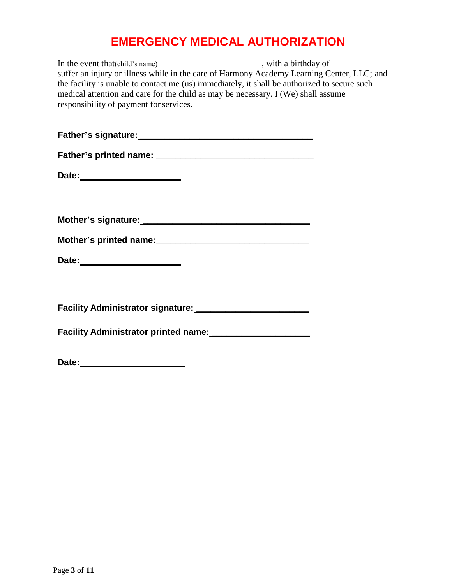# **EMERGENCY MEDICAL AUTHORIZATION**

| In the event that (child's name) __________________________, with a birthday of ___________                                                                                                                                                                                                                                |  |
|----------------------------------------------------------------------------------------------------------------------------------------------------------------------------------------------------------------------------------------------------------------------------------------------------------------------------|--|
| suffer an injury or illness while in the care of Harmony Academy Learning Center, LLC; and<br>the facility is unable to contact me (us) immediately, it shall be authorized to secure such<br>medical attention and care for the child as may be necessary. I (We) shall assume<br>responsibility of payment for services. |  |
|                                                                                                                                                                                                                                                                                                                            |  |
|                                                                                                                                                                                                                                                                                                                            |  |
| Date: _________________________                                                                                                                                                                                                                                                                                            |  |
| Mother's signature: Mother's signature:                                                                                                                                                                                                                                                                                    |  |
|                                                                                                                                                                                                                                                                                                                            |  |
| Date: _________________________                                                                                                                                                                                                                                                                                            |  |
|                                                                                                                                                                                                                                                                                                                            |  |
|                                                                                                                                                                                                                                                                                                                            |  |
| Date:                                                                                                                                                                                                                                                                                                                      |  |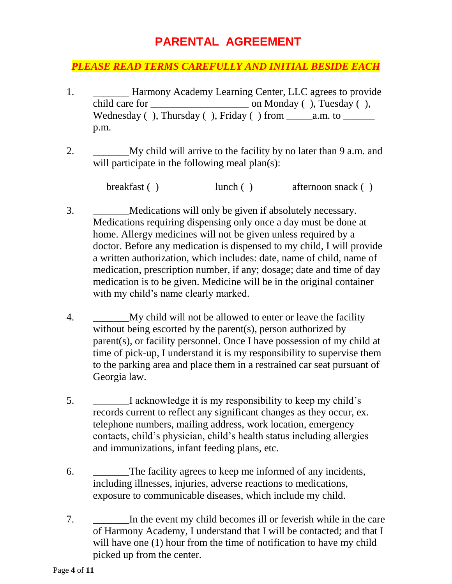### **PARENTAL AGREEMENT**

#### *PLEASE READ TERMS CAREFULLY AND INITIAL BESIDE EACH*

- 1. \_\_\_\_\_\_\_ Harmony Academy Learning Center, LLC agrees to provide child care for \_\_\_\_\_\_\_\_\_\_\_\_\_\_\_\_\_\_\_ on Monday ( ), Tuesday ( ), Wednesday ( ), Thursday ( ), Friday ( ) from \_\_\_\_\_a.m. to \_\_\_\_\_\_ p.m.
- 2. \_\_\_\_\_\_\_My child will arrive to the facility by no later than 9 a.m. and will participate in the following meal plan(s):

breakfast ( ) lunch ( ) afternoon snack ( )

- 3. \_\_\_\_\_\_\_Medications will only be given if absolutely necessary. Medications requiring dispensing only once a day must be done at home. Allergy medicines will not be given unless required by a doctor. Before any medication is dispensed to my child, I will provide a written authorization, which includes: date, name of child, name of medication, prescription number, if any; dosage; date and time of day medication is to be given. Medicine will be in the original container with my child's name clearly marked.
- 4. My child will not be allowed to enter or leave the facility without being escorted by the parent(s), person authorized by parent(s), or facility personnel. Once I have possession of my child at time of pick-up, I understand it is my responsibility to supervise them to the parking area and place them in a restrained car seat pursuant of Georgia law.
- 5. \_\_\_\_\_\_\_I acknowledge it is my responsibility to keep my child's records current to reflect any significant changes as they occur, ex. telephone numbers, mailing address, work location, emergency contacts, child's physician, child's health status including allergies and immunizations, infant feeding plans, etc.
- 6. The facility agrees to keep me informed of any incidents, including illnesses, injuries, adverse reactions to medications, exposure to communicable diseases, which include my child.
- 7. In the event my child becomes ill or feverish while in the care of Harmony Academy, I understand that I will be contacted; and that I will have one (1) hour from the time of notification to have my child picked up from the center.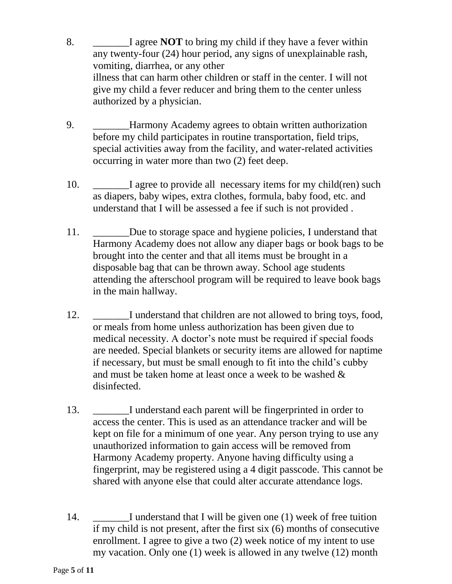- 8. I agree **NOT** to bring my child if they have a fever within any twenty-four (24) hour period, any signs of unexplainable rash, vomiting, diarrhea, or any other illness that can harm other children or staff in the center. I will not give my child a fever reducer and bring them to the center unless authorized by a physician.
- 9. \_\_\_\_\_\_\_Harmony Academy agrees to obtain written authorization before my child participates in routine transportation, field trips, special activities away from the facility, and water-related activities occurring in water more than two (2) feet deep.
- 10. I agree to provide all necessary items for my child(ren) such as diapers, baby wipes, extra clothes, formula, baby food, etc. and understand that I will be assessed a fee if such is not provided .
- 11. \_\_\_\_\_\_\_Due to storage space and hygiene policies, I understand that Harmony Academy does not allow any diaper bags or book bags to be brought into the center and that all items must be brought in a disposable bag that can be thrown away. School age students attending the afterschool program will be required to leave book bags in the main hallway.
- 12. \_\_\_\_\_\_\_I understand that children are not allowed to bring toys, food, or meals from home unless authorization has been given due to medical necessity. A doctor's note must be required if special foods are needed. Special blankets or security items are allowed for naptime if necessary, but must be small enough to fit into the child's cubby and must be taken home at least once a week to be washed & disinfected.
- 13. I understand each parent will be fingerprinted in order to access the center. This is used as an attendance tracker and will be kept on file for a minimum of one year. Any person trying to use any unauthorized information to gain access will be removed from Harmony Academy property. Anyone having difficulty using a fingerprint, may be registered using a 4 digit passcode. This cannot be shared with anyone else that could alter accurate attendance logs.
- 14. \_\_\_\_\_\_\_I understand that I will be given one (1) week of free tuition if my child is not present, after the first six (6) months of consecutive enrollment. I agree to give a two (2) week notice of my intent to use my vacation. Only one (1) week is allowed in any twelve (12) month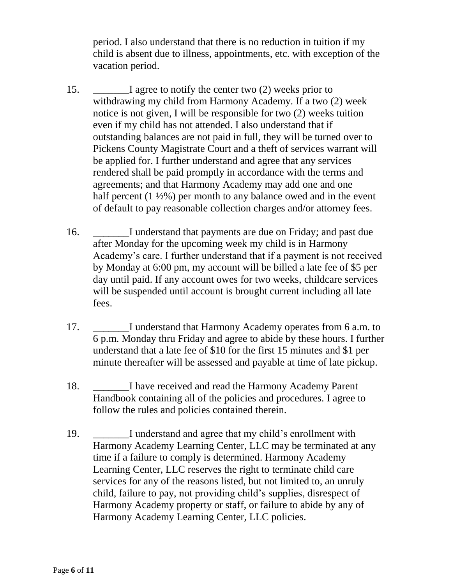period. I also understand that there is no reduction in tuition if my child is absent due to illness, appointments, etc. with exception of the vacation period.

- 15. \_\_\_\_\_\_\_I agree to notify the center two (2) weeks prior to withdrawing my child from Harmony Academy. If a two (2) week notice is not given, I will be responsible for two (2) weeks tuition even if my child has not attended. I also understand that if outstanding balances are not paid in full, they will be turned over to Pickens County Magistrate Court and a theft of services warrant will be applied for. I further understand and agree that any services rendered shall be paid promptly in accordance with the terms and agreements; and that Harmony Academy may add one and one half percent  $(1 \frac{1}{2}\%)$  per month to any balance owed and in the event of default to pay reasonable collection charges and/or attorney fees.
- 16. \_\_\_\_\_\_\_I understand that payments are due on Friday; and past due after Monday for the upcoming week my child is in Harmony Academy's care. I further understand that if a payment is not received by Monday at 6:00 pm, my account will be billed a late fee of \$5 per day until paid. If any account owes for two weeks, childcare services will be suspended until account is brought current including all late fees.
- 17. \_\_\_\_\_\_\_I understand that Harmony Academy operates from 6 a.m. to 6 p.m. Monday thru Friday and agree to abide by these hours. I further understand that a late fee of \$10 for the first 15 minutes and \$1 per minute thereafter will be assessed and payable at time of late pickup.
- 18. I have received and read the Harmony Academy Parent Handbook containing all of the policies and procedures. I agree to follow the rules and policies contained therein.
- 19. \_\_\_\_\_\_\_I understand and agree that my child's enrollment with Harmony Academy Learning Center, LLC may be terminated at any time if a failure to comply is determined. Harmony Academy Learning Center, LLC reserves the right to terminate child care services for any of the reasons listed, but not limited to, an unruly child, failure to pay, not providing child's supplies, disrespect of Harmony Academy property or staff, or failure to abide by any of Harmony Academy Learning Center, LLC policies.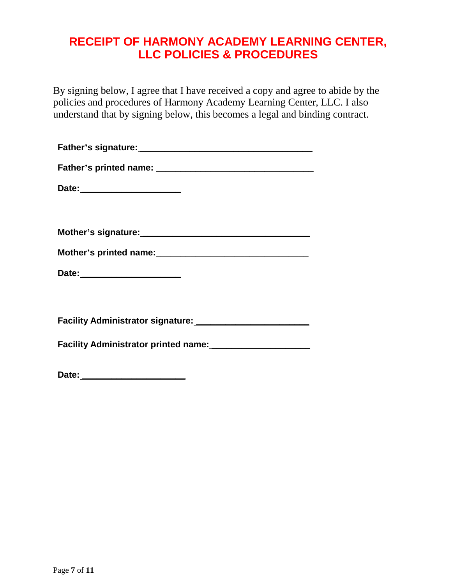### **RECEIPT OF HARMONY ACADEMY LEARNING CENTER, LLC POLICIES & PROCEDURES**

By signing below, I agree that I have received a copy and agree to abide by the policies and procedures of Harmony Academy Learning Center, LLC. I also understand that by signing below, this becomes a legal and binding contract.

| Date: ________________________ |  |  |
|--------------------------------|--|--|
|                                |  |  |
|                                |  |  |
|                                |  |  |
|                                |  |  |
|                                |  |  |
|                                |  |  |
|                                |  |  |
|                                |  |  |

| Date: |  |  |  |  |
|-------|--|--|--|--|
|       |  |  |  |  |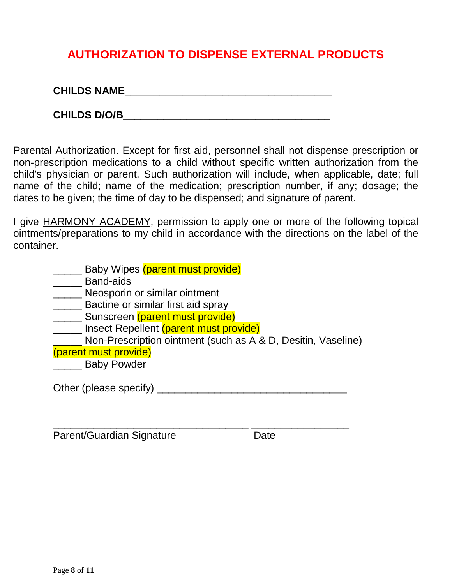### **AUTHORIZATION TO DISPENSE EXTERNAL PRODUCTS**

**CHILDS NAME\_\_\_\_\_\_\_\_\_\_\_\_\_\_\_\_\_\_\_\_\_\_\_\_\_\_\_\_\_\_\_\_\_\_\_\_**

**CHILDS D/O/B\_\_\_\_\_\_\_\_\_\_\_\_\_\_\_\_\_\_\_\_\_\_\_\_\_\_\_\_\_\_\_\_\_\_\_\_**

Parental Authorization. Except for first aid, personnel shall not dispense prescription or non-prescription medications to a child without specific written authorization from the child's physician or parent. Such authorization will include, when applicable, date; full name of the child; name of the medication; prescription number, if any; dosage; the dates to be given; the time of day to be dispensed; and signature of parent.

I give HARMONY ACADEMY, permission to apply one or more of the following topical ointments/preparations to my child in accordance with the directions on the label of the container.

- **Example 3** Baby Wipes (parent must provide)
- \_\_\_\_\_ Band-aids
- **Weosporin or similar ointment**
- **EXEC BACTILE OF SIMILAR SETAL SETAL**
- Sunscreen (parent must provide)
- **LETER** Insect Repellent (parent must provide)

**Non-Prescription ointment (such as A & D, Desitin, Vaseline)** 

- (parent must provide)
- **Example 3** Baby Powder

Other (please specify) \_\_\_\_\_\_\_\_\_\_\_\_\_\_\_\_\_\_\_\_\_\_\_\_\_\_\_\_\_\_\_\_\_

\_\_\_\_\_\_\_\_\_\_\_\_\_\_\_\_\_\_\_\_\_\_\_\_\_\_\_\_\_\_\_\_\_\_ \_\_\_\_\_\_\_\_\_\_\_\_\_\_\_\_\_

Parent/Guardian Signature Date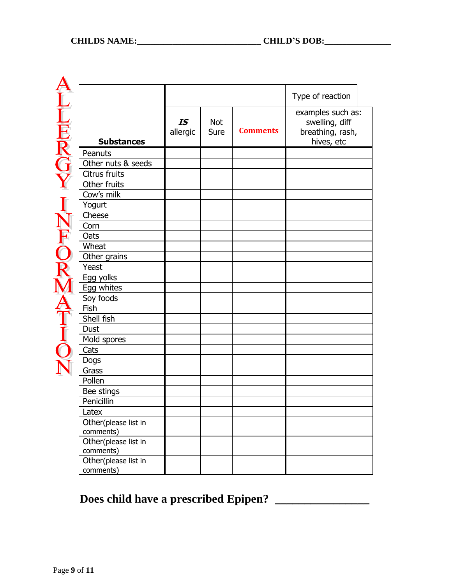**NOWARDENTAL KORENTILITY** 

|                                   |                |                    |                 | Type of reaction                                                      |
|-----------------------------------|----------------|--------------------|-----------------|-----------------------------------------------------------------------|
| <b>Substances</b>                 | IS<br>allergic | <b>Not</b><br>Sure | <b>Comments</b> | examples such as:<br>swelling, diff<br>breathing, rash,<br>hives, etc |
| Peanuts                           |                |                    |                 |                                                                       |
| Other nuts & seeds                |                |                    |                 |                                                                       |
| Citrus fruits                     |                |                    |                 |                                                                       |
| Other fruits                      |                |                    |                 |                                                                       |
| Cow's milk                        |                |                    |                 |                                                                       |
| Yogurt                            |                |                    |                 |                                                                       |
| Cheese                            |                |                    |                 |                                                                       |
| Corn                              |                |                    |                 |                                                                       |
| Oats                              |                |                    |                 |                                                                       |
| Wheat                             |                |                    |                 |                                                                       |
| Other grains                      |                |                    |                 |                                                                       |
| Yeast                             |                |                    |                 |                                                                       |
| Egg yolks                         |                |                    |                 |                                                                       |
| Egg whites                        |                |                    |                 |                                                                       |
| Soy foods                         |                |                    |                 |                                                                       |
| Fish                              |                |                    |                 |                                                                       |
| Shell fish                        |                |                    |                 |                                                                       |
| Dust                              |                |                    |                 |                                                                       |
| Mold spores                       |                |                    |                 |                                                                       |
| Cats                              |                |                    |                 |                                                                       |
| Dogs                              |                |                    |                 |                                                                       |
| Grass                             |                |                    |                 |                                                                       |
| Pollen                            |                |                    |                 |                                                                       |
| Bee stings                        |                |                    |                 |                                                                       |
| Penicillin                        |                |                    |                 |                                                                       |
| Latex                             |                |                    |                 |                                                                       |
| Other(please list in<br>comments) |                |                    |                 |                                                                       |
| Other(please list in<br>comments) |                |                    |                 |                                                                       |
| Other(please list in              |                |                    |                 |                                                                       |
| comments)                         |                |                    |                 |                                                                       |

# **Does child have a prescribed Epipen? \_\_\_\_\_\_\_\_\_\_\_\_\_\_\_\_**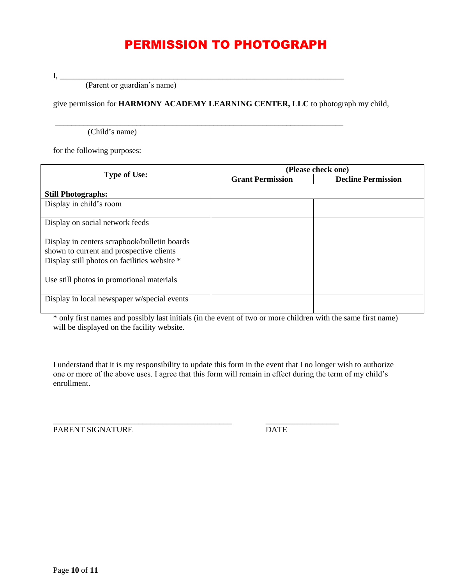# PERMISSION TO PHOTOGRAPH

I, \_\_\_\_\_\_\_\_\_\_\_\_\_\_\_\_\_\_\_\_\_\_\_\_\_\_\_\_\_\_\_\_\_\_\_\_\_\_\_\_\_\_\_\_\_\_\_\_\_\_\_\_\_\_\_\_\_\_\_\_\_\_\_\_\_\_\_\_\_\_

(Parent or guardian's name)

give permission for **HARMONY ACADEMY LEARNING CENTER, LLC** to photograph my child,

\_\_\_\_\_\_\_\_\_\_\_\_\_\_\_\_\_\_\_\_\_\_\_\_\_\_\_\_\_\_\_\_\_\_\_\_\_\_\_\_\_\_\_\_\_\_\_\_\_\_\_\_\_\_\_\_\_\_\_\_\_\_\_\_\_\_\_\_\_\_\_

(Child's name)

for the following purposes:

|                                                                                          | (Please check one)      |                           |  |  |
|------------------------------------------------------------------------------------------|-------------------------|---------------------------|--|--|
| <b>Type of Use:</b>                                                                      | <b>Grant Permission</b> | <b>Decline Permission</b> |  |  |
| <b>Still Photographs:</b>                                                                |                         |                           |  |  |
| Display in child's room                                                                  |                         |                           |  |  |
| Display on social network feeds                                                          |                         |                           |  |  |
| Display in centers scrapbook/bulletin boards<br>shown to current and prospective clients |                         |                           |  |  |
| Display still photos on facilities website *                                             |                         |                           |  |  |
| Use still photos in promotional materials                                                |                         |                           |  |  |
| Display in local newspaper w/special events                                              |                         |                           |  |  |

\* only first names and possibly last initials (in the event of two or more children with the same first name) will be displayed on the facility website.

I understand that it is my responsibility to update this form in the event that I no longer wish to authorize one or more of the above uses. I agree that this form will remain in effect during the term of my child's enrollment.

\_\_\_\_\_\_\_\_\_\_\_\_\_\_\_\_\_\_\_\_\_\_\_\_\_\_\_\_\_\_\_\_\_\_\_\_\_\_\_\_\_\_\_\_ \_\_\_\_\_\_\_\_\_\_\_\_\_\_\_\_\_\_

PARENT SIGNATURE DATE